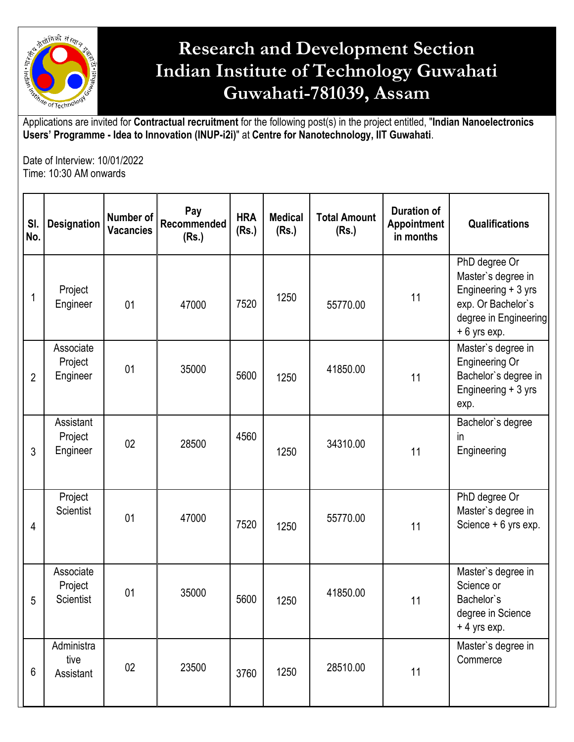

## **Research and Development Section Indian Institute of Technology Guwahati Guwahati-781039, Assam**

Applications are invited for **Contractual recruitment** for the following post(s) in the project entitled, "**Indian Nanoelectronics Users' Programme - Idea to Innovation (INUP-i2i)**" at **Centre for Nanotechnology, IIT Guwahati**.

Date of Interview: 10/01/2022 Time: 10:30 AM onwards

| SI.<br>No.      | <b>Designation</b>                       | Number of<br><b>Vacancies</b> | Pay<br>Recommended<br>(Rs.) | <b>HRA</b><br>(Rs.) | <b>Medical</b><br>(Rs.) | <b>Total Amount</b><br>(Rs.) | <b>Duration of</b><br><b>Appointment</b><br>in months | <b>Qualifications</b>                                                                                                      |
|-----------------|------------------------------------------|-------------------------------|-----------------------------|---------------------|-------------------------|------------------------------|-------------------------------------------------------|----------------------------------------------------------------------------------------------------------------------------|
| 1               | Project<br>Engineer                      | 01                            | 47000                       | 7520                | 1250                    | 55770.00                     | 11                                                    | PhD degree Or<br>Master's degree in<br>Engineering + 3 yrs<br>exp. Or Bachelor's<br>degree in Engineering<br>$+6$ yrs exp. |
| $\overline{2}$  | Associate<br>Project<br>Engineer         | 01                            | 35000                       | 5600                | 1250                    | 41850.00                     | 11                                                    | Master's degree in<br>Engineering Or<br>Bachelor's degree in<br>Engineering + 3 yrs<br>exp.                                |
| 3               | Assistant<br>Project<br>Engineer         | 02                            | 28500                       | 4560                | 1250                    | 34310.00                     | 11                                                    | Bachelor's degree<br>in<br>Engineering                                                                                     |
| 4               | Project<br><b>Scientist</b>              | 01                            | 47000                       | 7520                | 1250                    | 55770.00                     | 11                                                    | PhD degree Or<br>Master's degree in<br>Science + 6 yrs exp.                                                                |
| 5               | Associate<br>Project<br><b>Scientist</b> | 01                            | 35000                       | 5600                | 1250                    | 41850.00                     | 11                                                    | Master's degree in<br>Science or<br>Bachelor's<br>degree in Science<br>$+4$ yrs exp.                                       |
| $6\phantom{1}6$ | Administra<br>tive<br>Assistant          | 02                            | 23500                       | 3760                | 1250                    | 28510.00                     | 11                                                    | Master's degree in<br>Commerce                                                                                             |